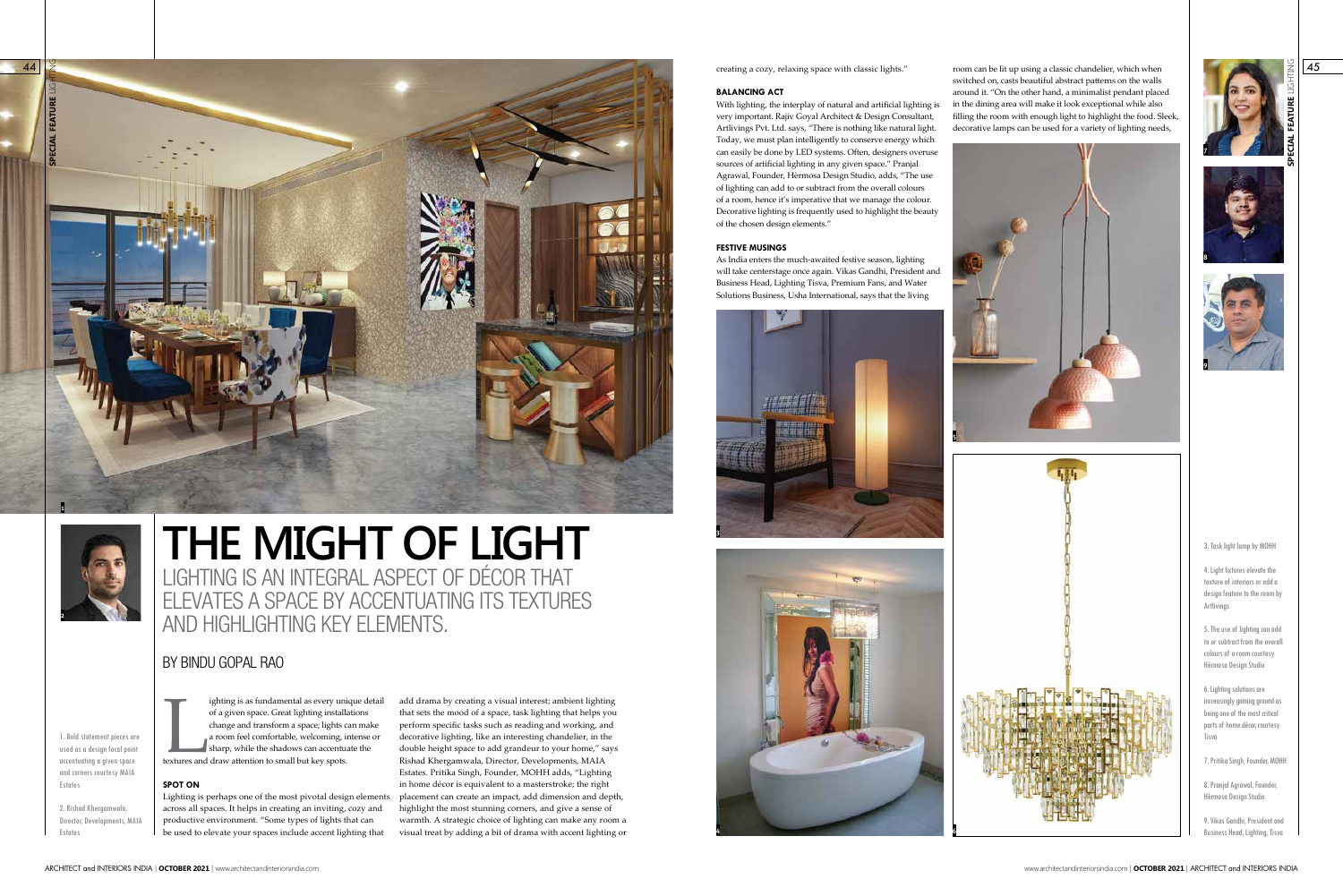## BY BINDU GOPAL RAO



# LIGHTING IS AN INTEGRAL ASPECT OF DÉCOR THAT ELEVATES A SPACE BY ACCENTUATING ITS TEXTURES AND HIGHLIGHTING KEY ELEMENTS. **THE MIGHT OF LIGHT**



1. Bold statement pieces are used as a design focal point accentuating a given space and corners courtesy MAIA Estates

2. Rishad Khergamwala, Director, Developments, MAIA Estates

ighting is as fundamental as every university of a given space. Great lighting install change and transform a space; lights c a room feel comfortable, welcoming, is sharp, while the shadows can accentule the small but key ighting is as fundamental as every unique detail of a given space. Great lighting installations change and transform a space; lights can make a room feel comfortable, welcoming, intense or sharp, while the shadows can accentuate the

### **SPOT ON**

Lighting is perhaps one of the most pivotal design elements across all spaces. It helps in creating an inviting, cozy and productive environment. "Some types of lights that can be used to elevate your spaces include accent lighting that

add drama by creating a visual interest; ambient lighting that sets the mood of a space, task lighting that helps you perform specific tasks such as reading and working, and decorative lighting, like an interesting chandelier, in the double height space to add grandeur to your home," says Rishad Khergamwala, Director, Developments, MAIA Estates. Pritika Singh, Founder, MOHH adds, "Lighting in home décor is equivalent to a masterstroke; the right placement can create an impact, add dimension and depth, highlight the most stunning corners, and give a sense of warmth. A strategic choice of lighting can make any room a visual treat by adding a bit of drama with accent lighting or

creating a cozy, relaxing space with classic lights."  $\frac{1}{2}$  room can be lit up using a classic chandelier, which when  $\frac{1}{2}$   $\frac{1}{45}$ switched on, casts beautiful abstract patterns on the walls around it. "On the other hand, a minimalist pendant placed in the dining area will make it look exceptional while also filling the room with enough light to highlight the food. Sleek, decorative lamps can be used for a variety of lighting needs,

#### **BALANCING ACT**

With lighting, the interplay of natural and artificial lighting is very important. Rajiv Goyal Architect & Design Consultant, Artlivings Pvt. Ltd. says, "There is nothing like natural light. Today, we must plan intelligently to conserve energy which can easily be done by LED systems. Often, designers overuse sources of artificial lighting in any given space." Pranjal Agrawal, Founder, Hèrmosa Design Studio, adds, "The use of lighting can add to or subtract from the overall colours of a room, hence it's imperative that we manage the colour. Decorative lighting is frequently used to highlight the beauty of the chosen design elements."

#### **FESTIVE MUSINGS**

As India enters the much-awaited festive season, lighting will take centerstage once again. Vikas Gandhi, President and Business Head, Lighting Tisva, Premium Fans, and Water Solutions Business, Usha International, says that the living





#### 3. Task light lamp by MOHH

4. Light fixtures elevate the texture of interiors or add a design feature to the room by Artlivings

5. The use of lighting can add to or subtract from the overall colours of a room courtesy Hèrmosa Design Studio

6. Lighting solutions are increasingly gaining ground as being one of the most critical parts of home décor, courtesy Tisva

7. Pritika Singh, Founder, MOHH

8. Pranjal Agrawal, Founder, Hèrmosa Design Studio

9. Vikas Gandhi, President and Business Head, Lighting, Tisva







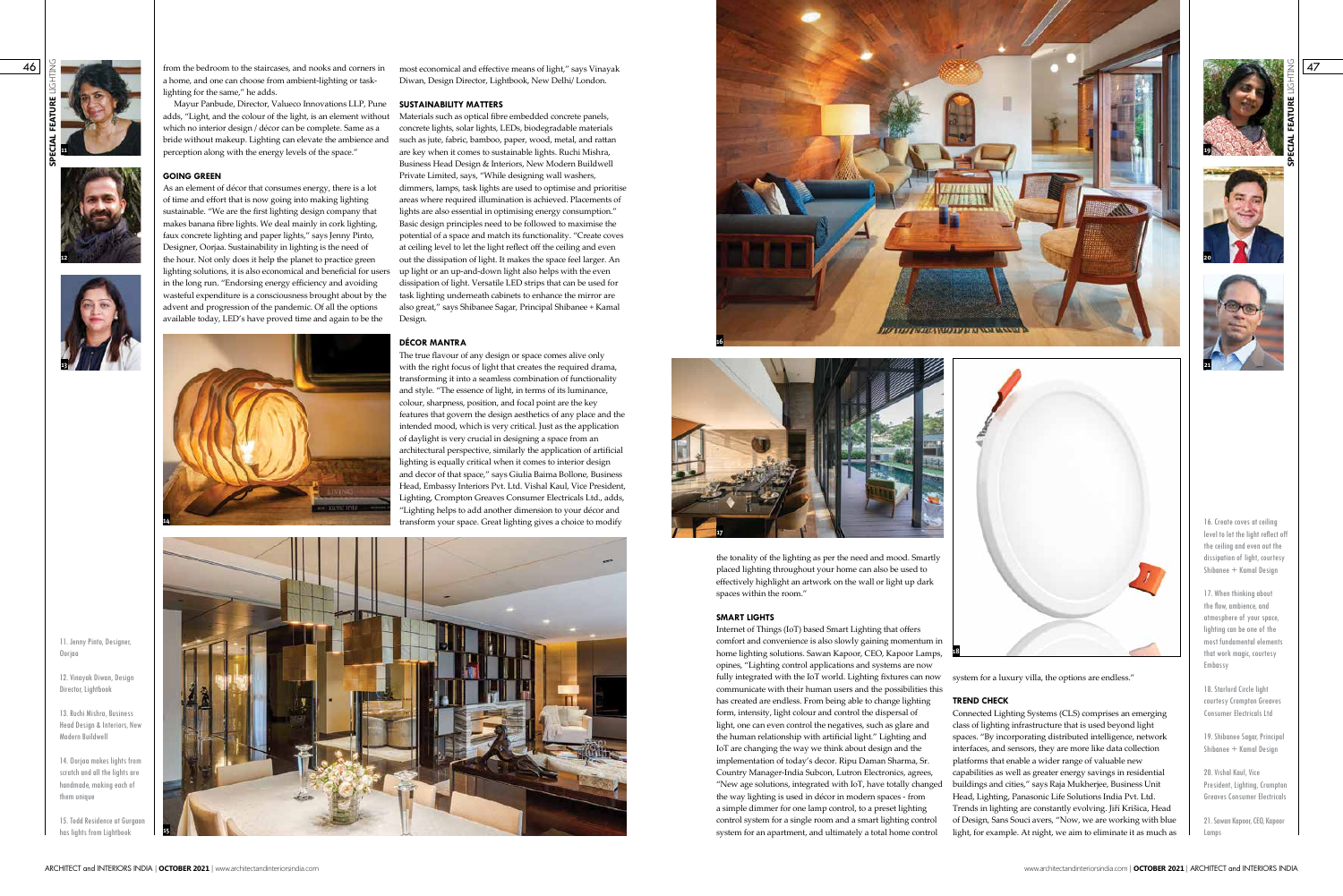11. Jenny Pinto, Designer Oorjaa

46

12. Vinayak Diwan, Design Director, Lightbook

15. Todd Residence at Gurgaon has lights from Lightbook

13. Ruchi Mishra, Business Head Design & Interiors, New Modern Buildwell

14. Oorjaa makes lights from scratch and all the lights are handmade, making each of them unique

most economical and effective means of light," says Vinayak Diwan, Design Director, Lightbook, New Delhi/ London.

concrete lights, solar lights, LEDs, biodegradable materials such as jute, fabric, bamboo, paper, wood, metal, and rattan are key when it comes to sustainable lights. Ruchi Mishra, Business Head Design & Interiors, New Modern Buildwell Private Limited, says, "While designing wall washers, dimmers, lamps, task lights are used to optimise and prioritise areas where required illumination is achieved. Placements of lights are also essential in optimising energy consumption." Basic design principles need to be followed to maximise the potential of a space and match its functionality. "Create coves at ceiling level to let the light reflect off the ceiling and even out the dissipation of light. It makes the space feel larger. An up light or an up-and-down light also helps with the even dissipation of light. Versatile LED strips that can be used for task lighting underneath cabinets to enhance the mirror are also great," says Shibanee Sagar, Principal Shibanee + Kamal Design.

Mayur Panbude, Director, Valueco Innovations LLP, Pune **SUSTAINABILITY MATTERS** adds, "Light, and the colour of the light, is an element without Materials such as optical fibre embedded concrete panels, which no interior design / décor can be complete. Same as a bride without makeup. Lighting can elevate the ambience and perception along with the energy levels of the space."

### **DÉCOR MANTRA**

**SPECIAL FEATURE** LIGHTING **11**

> The true flavour of any design or space comes alive only with the right focus of light that creates the required drama, transforming it into a seamless combination of functionality and style. "The essence of light, in terms of its luminance, colour, sharpness, position, and focal point are the key features that govern the design aesthetics of any place and the intended mood, which is very critical. Just as the application of daylight is very crucial in designing a space from an architectural perspective, similarly the application of artificial lighting is equally critical when it comes to interior design and decor of that space," says Giulia Baima Bollone, Business Head, Embassy Interiors Pvt. Ltd. Vishal Kaul, Vice President, Lighting, Crompton Greaves Consumer Electricals Ltd., adds, "Lighting helps to add another dimension to your décor and transform your space. Great lighting gives a choice to modify

16. Create coves at ceiling level to let the light reflect off the ceiling and even out the dissipation of light, courtesy Shibanee + Kamal Design

18. Starlord Circle light courtesy Crompton Greaves Consumer Electricals Ltd

19. Shibanee Sagar, Principal Shibanee + Kamal Design

from the bedroom to the staircases, and nooks and corners in a home, and one can choose from ambient-lighting or tasklighting for the same," he adds.

### **GOING GREEN**

As an element of décor that consumes energy, there is a lot of time and effort that is now going into making lighting sustainable. "We are the first lighting design company that makes banana fibre lights. We deal mainly in cork lighting, faux concrete lighting and paper lights," says Jenny Pinto, Designer, Oorjaa. Sustainability in lighting is the need of the hour. Not only does it help the planet to practice green lighting solutions, it is also economical and beneficial for users in the long run. "Endorsing energy efficiency and avoiding wasteful expenditure is a consciousness brought about by the advent and progression of the pandemic. Of all the options available today, LED's have proved time and again to be the



**13**





**SPECIAL FEATURE** LIGHTING

47

17. When thinking about the flow, ambience, and atmosphere of your space, lighting can be one of the most fundamental elements that work magic, courtesy Embassy

20. Vishal Kaul, Vice President, Lighting, Crompton Greaves Consumer Electricals

21. Sawan Kapoor, CEO, Kapoor Lamps

system for a luxury villa, the options are endless." **TREND CHECK** Connected Lighting Systems (CLS) comprises an emerging class of lighting infrastructure that is used beyond light spaces. "By incorporating distributed intelligence, network interfaces, and sensors, they are more like data collection platforms that enable a wider range of valuable new capabilities as well as greater energy savings in residential buildings and cities," says Raja Mukherjee, Business Unit Head, Lighting, Panasonic Life Solutions India Pvt. Ltd. Trends in lighting are constantly evolving. Jiří Krišica, Head of Design, Sans Souci avers, "Now, we are working with blue light, for example. At night, we aim to eliminate it as much as opines, "Lighting control applications and systems are now fully integrated with the IoT world. Lighting fixtures can now communicate with their human users and the possibilities this has created are endless. From being able to change lighting form, intensity, light colour and control the dispersal of light, one can even control the negatives, such as glare and the human relationship with artificial light." Lighting and IoT are changing the way we think about design and the implementation of today's decor. Ripu Daman Sharma, Sr. Country Manager-India Subcon, Lutron Electronics, agrees, "New age solutions, integrated with IoT, have totally changed the way lighting is used in décor in modern spaces - from a simple dimmer for one lamp control, to a preset lighting control system for a single room and a smart lighting control system for an apartment, and ultimately a total home control